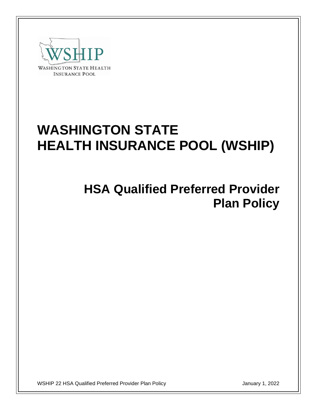

# **WASHINGTON STATE HEALTH INSURANCE POOL (WSHIP)**

## **HSA Qualified Preferred Provider Plan Policy**

WSHIP 22 HSA Qualified Preferred Provider Plan Policy **January 1, 2022**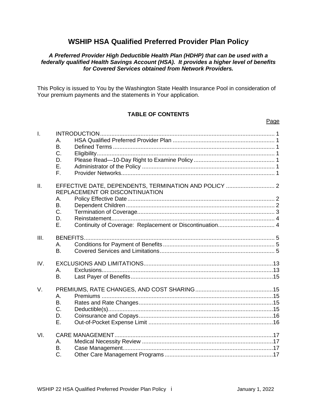## **WSHIP HSA Qualified Preferred Provider Plan Policy**

#### *A Preferred Provider High Deductible Health Plan (HDHP) that can be used with a federally qualified Health Savings Account (HSA). It provides a higher level of benefits for Covered Services obtained from Network Providers.*

This Policy is issued to You by the Washington State Health Insurance Pool in consideration of Your premium payments and the statements in Your application.

## **TABLE OF CONTENTS**

| $\overline{1}$ . | А.<br><b>B.</b><br>C.<br>D.<br>Ε.<br>F. |                                                                                         |  |
|------------------|-----------------------------------------|-----------------------------------------------------------------------------------------|--|
| II.              | А.<br>Β.<br>C.<br>D.<br>Ε.              | EFFECTIVE DATE, DEPENDENTS, TERMINATION AND POLICY  2<br>REPLACEMENT OR DISCONTINUATION |  |
| III.             | Α.<br><b>B.</b>                         |                                                                                         |  |
| IV.              | Α.<br>В.                                |                                                                                         |  |
| V.               | А.<br>Β.<br>C.<br>D.<br>Е.              |                                                                                         |  |
| VI.              | А.<br>В.<br>C.                          |                                                                                         |  |

Page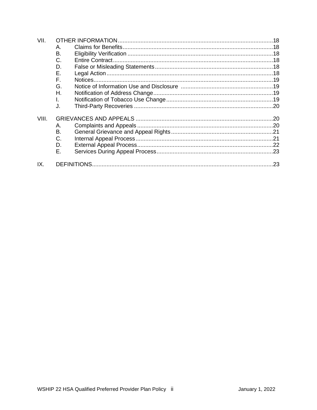| VII.  |           |  |  |
|-------|-----------|--|--|
|       | Α.        |  |  |
|       | <b>B.</b> |  |  |
|       | C.        |  |  |
|       | D.        |  |  |
|       | Е.        |  |  |
|       | F.        |  |  |
|       | G.        |  |  |
|       | Η.        |  |  |
|       | I.        |  |  |
|       | J.        |  |  |
| VIII. |           |  |  |
|       | Α.        |  |  |
|       | В.        |  |  |
|       | C.        |  |  |
|       | D.        |  |  |
|       | Е.        |  |  |
| IX.   |           |  |  |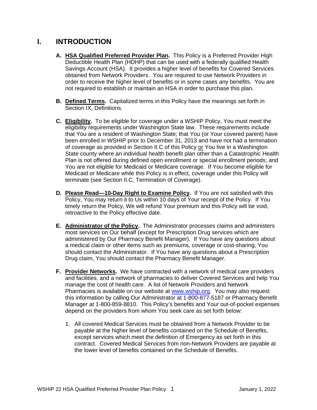## **I. INTRODUCTION**

- **A.** *<sup>U</sup>***HSA Qualified Preferred Provider Plan***U***.** This Policy is a Preferred Provider High Deductible Health Plan (HDHP) that can be used with a federally qualified Health Savings Account (HSA). It provides a higher level of benefits for Covered Services obtained from Network Providers. You are required to use Network Providers in order to receive the higher level of benefits or in some cases any benefits. You are not required to establish or maintain an HSA in order to purchase this plan.
- **B.** Defined Terms. Capitalized terms in this Policy have the meanings set forth in Section IX, Definitions.
- **C.** Eligibility. To be eligible for coverage under a WSHIP Policy, You must meet the eligibility requirements under Washington State law. These requirements include that You are a resident of Washington State; that You (or Your covered parent) have been enrolled in WSHIP prior to December 31, 2013 and have not had a termination of coverage as provided in Section II.C of this Policy or You live in a Washington State county where an individual health benefit plan other than a Catastrophic Health Plan is not offered during defined open enrollment or special enrollment periods; and You are not eligible for Medicaid or Medicare coverage. If You become eligible for Medicaid or Medicare while this Policy is in effect, coverage under this Policy will terminate (see Section II.C, Termination of Coverage).
- **D. Please Read—10-Day Right to Examine Policy.** If You are not satisfied with this Policy, You may return it to Us within 10 days of Your receipt of the Policy. If You timely return the Policy, We will refund Your premium and this Policy will be void, retroactive to the Policy effective date.
- **E. Administrator of the Policy.** The Administrator processes claims and administers most services on Our behalf (except for Prescription Drug services which are administered by Our Pharmacy Benefit Manager). If You have any questions about a medical claim or other items such as premiums, coverage or cost-sharing, You should contact the Administrator. If You have any questions about a Prescription Drug claim, You should contact the Pharmacy Benefit Manager.
- **F. Provider Networks.** We have contracted with a network of medical care providers and facilities, and a network of pharmacies to deliver Covered Services and help You manage the cost of health care. A list of Network Providers and Network Pharmacies is available on our website at [www.wship.org.](http://www.wship.org/) You may also request this information by calling Our Administrator at 1-800-877-5187 or Pharmacy Benefit Manager at 1-800-859-8810. This Policy's benefits and Your out-of-pocket expenses depend on the providers from whom You seek care as set forth below:
	- 1. All covered Medical Services must be obtained from a Network Provider to be payable at the higher level of benefits contained on the Schedule of Benefits, except services which meet the definition of Emergency as set forth in this contract. Covered Medical Services from non-Network Providers are payable at the lower level of benefits contained on the Schedule of Benefits.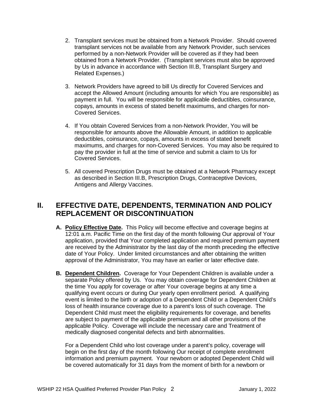- 2. Transplant services must be obtained from a Network Provider. Should covered transplant services not be available from any Network Provider, such services performed by a non-Network Provider will be covered as if they had been obtained from a Network Provider. (Transplant services must also be approved by Us in advance in accordance with Section III.B, Transplant Surgery and Related Expenses.)
- 3. Network Providers have agreed to bill Us directly for Covered Services and accept the Allowed Amount (including amounts for which You are responsible) as payment in full. You will be responsible for applicable deductibles, coinsurance, copays, amounts in excess of stated benefit maximums, and charges for non-Covered Services.
- 4. If You obtain Covered Services from a non-Network Provider, You will be responsible for amounts above the Allowable Amount, in addition to applicable deductibles, coinsurance, copays, amounts in excess of stated benefit maximums, and charges for non-Covered Services. You may also be required to pay the provider in full at the time of service and submit a claim to Us for Covered Services.
- 5. All covered Prescription Drugs must be obtained at a Network Pharmacy except as described in Section III.B, Prescription Drugs, Contraceptive Devices, Antigens and Allergy Vaccines.

## **II. EFFECTIVE DATE, DEPENDENTS, TERMINATION AND POLICY REPLACEMENT OR DISCONTINUATION**

- **A. Policy Effective Date.** This Policy will become effective and coverage begins at 12:01 a.m. Pacific Time on the first day of the month following Our approval of Your application, provided that Your completed application and required premium payment are received by the Administrator by the last day of the month preceding the effective date of Your Policy. Under limited circumstances and after obtaining the written approval of the Administrator, You may have an earlier or later effective date.
- **B. Dependent Children.** Coverage for Your Dependent Children is available under a separate Policy offered by Us. You may obtain coverage for Dependent Children at the time You apply for coverage or after Your coverage begins at any time a qualifying event occurs or during Our yearly open enrollment period. A qualifying event is limited to the birth or adoption of a Dependent Child or a Dependent Child's loss of health insurance coverage due to a parent's loss of such coverage. The Dependent Child must meet the eligibility requirements for coverage, and benefits are subject to payment of the applicable premium and all other provisions of the applicable Policy. Coverage will include the necessary care and Treatment of medically diagnosed congenital defects and birth abnormalities.

For a Dependent Child who lost coverage under a parent's policy, coverage will begin on the first day of the month following Our receipt of complete enrollment information and premium payment. Your newborn or adopted Dependent Child will be covered automatically for 31 days from the moment of birth for a newborn or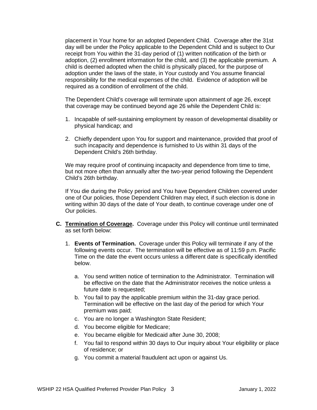placement in Your home for an adopted Dependent Child. Coverage after the 31st day will be under the Policy applicable to the Dependent Child and is subject to Our receipt from You within the 31-day period of (1) written notification of the birth or adoption, (2) enrollment information for the child, and (3) the applicable premium. A child is deemed adopted when the child is physically placed, for the purpose of adoption under the laws of the state, in Your custody and You assume financial responsibility for the medical expenses of the child. Evidence of adoption will be required as a condition of enrollment of the child.

The Dependent Child's coverage will terminate upon attainment of age 26, except that coverage may be continued beyond age 26 while the Dependent Child is:

- 1. Incapable of self-sustaining employment by reason of developmental disability or physical handicap; and
- 2. Chiefly dependent upon You for support and maintenance, provided that proof of such incapacity and dependence is furnished to Us within 31 days of the Dependent Child's 26th birthday.

We may require proof of continuing incapacity and dependence from time to time, but not more often than annually after the two-year period following the Dependent Child's 26th birthday.

If You die during the Policy period and You have Dependent Children covered under one of Our policies, those Dependent Children may elect, if such election is done in writing within 30 days of the date of Your death, to continue coverage under one of Our policies.

- **C. Termination of Coverage.** Coverage under this Policy will continue until terminated as set forth below:
	- 1. *2B***Events of Termination.** Coverage under this Policy will terminate if any of the following events occur. The termination will be effective as of 11:59 p.m. Pacific Time on the date the event occurs unless a different date is specifically identified below.
		- a. You send written notice of termination to the Administrator. Termination will be effective on the date that the Administrator receives the notice unless a future date is requested;
		- b. *7B*You fail to pay the applicable premium within the 31-day grace period. Termination will be effective on the last day of the period for which Your premium was paid;
		- c. You are no longer a Washington State Resident;
		- d. You become eligible for Medicare;
		- e. *3B*You became eligible for Medicaid after June 30, 2008;
		- f. You fail to respond within 30 days to Our inquiry about Your eligibility or place of residence; or
		- g. You commit a material fraudulent act upon or against Us.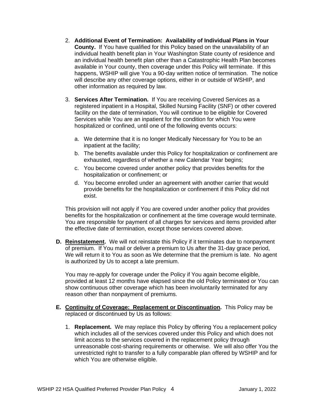- 2. *4B***Additional Event of Termination: Availability of Individual Plans in Your County.** If You have qualified for this Policy based on the unavailability of an individual health benefit plan in Your Washington State county of residence and an individual health benefit plan other than a Catastrophic Health Plan becomes available in Your county, then coverage under this Policy will terminate. If this happens, WSHIP will give You a 90-day written notice of termination. The notice will describe any other coverage options, either in or outside of WSHIP, and other information as required by law.
- 3. *5B***Services After Termination.** If You are receiving Covered Services as a registered inpatient in a Hospital, Skilled Nursing Facility (SNF) or other covered facility on the date of termination, You will continue to be eligible for Covered Services while You are an inpatient for the condition for which You were hospitalized or confined, until one of the following events occurs:
	- a. We determine that it is no longer Medically Necessary for You to be an inpatient at the facility;
	- b. The benefits available under this Policy for hospitalization or confinement are exhausted, regardless of whether a new Calendar Year begins;
	- c. You become covered under another policy that provides benefits for the hospitalization or confinement; or
	- d. *13B*You become enrolled under an agreement with another carrier that would provide benefits for the hospitalization or confinement if this Policy did not exist.

This provision will not apply if You are covered under another policy that provides benefits for the hospitalization or confinement at the time coverage would terminate. You are responsible for payment of all charges for services and items provided after the effective date of termination, except those services covered above.

**D. Reinstatement.** We will not reinstate this Policy if it terminates due to nonpayment of premium. If You mail or deliver a premium to Us after the 31-day grace period, We will return it to You as soon as We determine that the premium is late. No agent is authorized by Us to accept a late premium.

You may re-apply for coverage under the Policy if You again become eligible, provided at least 12 months have elapsed since the old Policy terminated or You can show continuous other coverage which has been involuntarily terminated for any reason other than nonpayment of premiums.

- **E. Continuity of Coverage: Replacement or Discontinuation.** This Policy may be replaced or discontinued by Us as follows:
	- 1. **Replacement.** We may replace this Policy by offering You a replacement policy which includes all of the services covered under this Policy and which does not limit access to the services covered in the replacement policy through unreasonable cost-sharing requirements or otherwise. We will also offer You the unrestricted right to transfer to a fully comparable plan offered by WSHIP and for which You are otherwise eligible.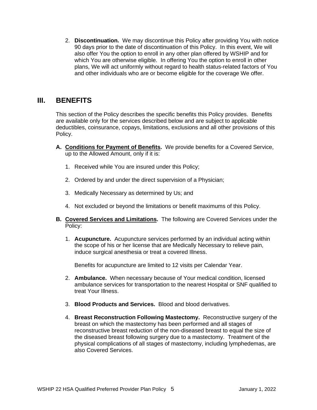2. **Discontinuation.** We may discontinue this Policy after providing You with notice 90 days prior to the date of discontinuation of this Policy. In this event, We will also offer You the option to enroll in any other plan offered by WSHIP and for which You are otherwise eligible. In offering You the option to enroll in other plans, We will act uniformly without regard to health status-related factors of You and other individuals who are or become eligible for the coverage We offer.

## *1B***III. BENEFITS**

This section of the Policy describes the specific benefits this Policy provides. Benefits are available only for the services described below and are subject to applicable deductibles, coinsurance, copays, limitations, exclusions and all other provisions of this Policy.

- **A. Conditions for Payment of Benefits.** We provide benefits for a Covered Service, up to the Allowed Amount, only if it is:
	- 1. Received while You are insured under this Policy;
	- 2. Ordered by and under the direct supervision of a Physician;
	- 3. Medically Necessary as determined by Us; and
	- 4. Not excluded or beyond the limitations or benefit maximums of this Policy.
- **B. Covered Services and Limitations.** The following are Covered Services under the Policy:
	- 1. **Acupuncture.** Acupuncture services performed by an individual acting within the scope of his or her license that are Medically Necessary to relieve pain, induce surgical anesthesia or treat a covered Illness.

Benefits for acupuncture are limited to 12 visits per Calendar Year.

- 2. **Ambulance.** When necessary because of Your medical condition, licensed ambulance services for transportation to the nearest Hospital or SNF qualified to treat Your Illness.
- 3. **Blood Products and Services.** Blood and blood derivatives.
- 4. **Breast Reconstruction Following Mastectomy.** Reconstructive surgery of the breast on which the mastectomy has been performed and all stages of reconstructive breast reduction of the non-diseased breast to equal the size of the diseased breast following surgery due to a mastectomy. Treatment of the physical complications of all stages of mastectomy, including lymphedemas, are also Covered Services.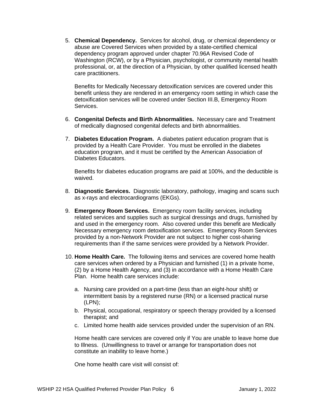5. **Chemical Dependency.** Services for alcohol, drug, or chemical dependency or abuse are Covered Services when provided by a state-certified chemical dependency program approved under chapter 70.96A Revised Code of Washington (RCW), or by a Physician, psychologist, or community mental health professional, or, at the direction of a Physician, by other qualified licensed health care practitioners.

Benefits for Medically Necessary detoxification services are covered under this benefit unless they are rendered in an emergency room setting in which case the detoxification services will be covered under Section III.B, Emergency Room Services.

- 6. **Congenital Defects and Birth Abnormalities.** Necessary care and Treatment of medically diagnosed congenital defects and birth abnormalities.
- 7. **Diabetes Education Program.** A diabetes patient education program that is provided by a Health Care Provider. You must be enrolled in the diabetes education program, and it must be certified by the American Association of Diabetes Educators.

Benefits for diabetes education programs are paid at 100%, and the deductible is waived.

- 8. **Diagnostic Services.** Diagnostic laboratory, pathology, imaging and scans such as x-rays and electrocardiograms (EKGs).
- 9. **Emergency Room Services.** Emergency room facility services, including related services and supplies such as surgical dressings and drugs, furnished by and used in the emergency room.Also covered under this benefit are Medically Necessary emergency room detoxification services. Emergency Room Services provided by a non-Network Provider are not subject to higher cost-sharing requirements than if the same services were provided by a Network Provider.
- 10. **Home Health Care.** The following items and services are covered home health care services when ordered by a Physician and furnished (1) in a private home, (2) by a Home Health Agency, and (3) in accordance with a Home Health Care Plan. Home health care services include:
	- a. Nursing care provided on a part-time (less than an eight-hour shift) or intermittent basis by a registered nurse (RN) or a licensed practical nurse (LPN);
	- b. Physical, occupational, respiratory or speech therapy provided by a licensed therapist; and
	- c. Limited home health aide services provided under the supervision of an RN.

Home health care services are covered only if You are unable to leave home due to Illness. (Unwillingness to travel or arrange for transportation does not constitute an inability to leave home.)

One home health care visit will consist of: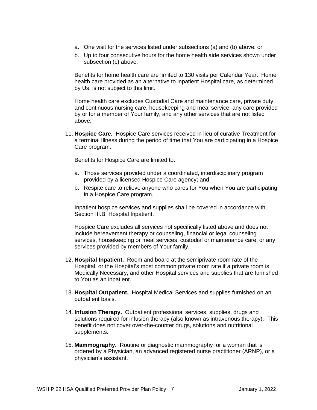- a. One visit for the services listed under subsections (a) and (b) above; or
- b. Up to four consecutive hours for the home health aide services shown under subsection (c) above.

Benefits for home health care are limited to 130 visits per Calendar Year. Home health care provided as an alternative to inpatient Hospital care, as determined by Us, is not subject to this limit.

Home health care excludes Custodial Care and maintenance care, private duty and continuous nursing care, housekeeping and meal service, any care provided by or for a member of Your family, and any other services that are not listed above.

11. **Hospice Care.** Hospice Care services received in lieu of curative Treatment for a terminal Illness during the period of time that You are participating in a Hospice Care program.

Benefits for Hospice Care are limited to:

- a. Those services provided under a coordinated, interdisciplinary program provided by a licensed Hospice Care agency; and
- b. Respite care to relieve anyone who cares for You when You are participating in a Hospice Care program.

Inpatient hospice services and supplies shall be covered in accordance with Section III.B, Hospital Inpatient.

Hospice Care excludes all services not specifically listed above and does not include bereavement therapy or counseling, financial or legal counseling services, housekeeping or meal services, custodial or maintenance care, or any services provided by members of Your family.

- 12. **Hospital Inpatient.** Room and board at the semiprivate room rate of the Hospital, or the Hospital's most common private room rate if a private room is Medically Necessary, and other Hospital services and supplies that are furnished to You as an inpatient.
- 13. **Hospital Outpatient.** Hospital Medical Services and supplies furnished on an outpatient basis.
- 14. **Infusion Therapy.** Outpatient professional services, supplies, drugs and solutions required for infusion therapy (also known as intravenous therapy).This benefit does not cover over-the-counter drugs, solutions and nutritional supplements.
- 15. **Mammography.** Routine or diagnostic mammography for a woman that is ordered by a Physician, an advanced registered nurse practitioner (ARNP), or a physician's assistant.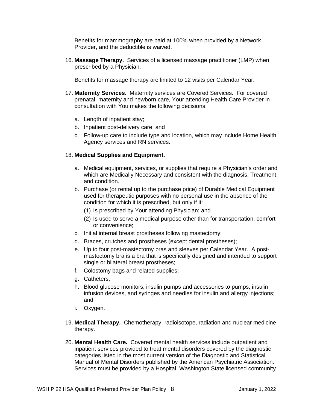Benefits for mammography are paid at 100% when provided by a Network Provider, and the deductible is waived.

16. **Massage Therapy.** Services of a licensed massage practitioner (LMP) when prescribed by a Physician.

Benefits for massage therapy are limited to 12 visits per Calendar Year.

- 17. **Maternity Services.** Maternity services are Covered Services. For covered prenatal, maternity and newborn care, Your attending Health Care Provider in consultation with You makes the following decisions:
	- a. Length of inpatient stay;
	- b. Inpatient post-delivery care; and
	- c. Follow-up care to include type and location, which may include Home Health Agency services and RN services.

#### 18. **Medical Supplies and Equipment.**

- a. Medical equipment, services, or supplies that require a Physician's order and which are Medically Necessary and consistent with the diagnosis, Treatment, and condition.
- b. Purchase (or rental up to the purchase price) of Durable Medical Equipment used for therapeutic purposes with no personal use in the absence of the condition for which it is prescribed, but only if it:
	- (1) Is prescribed by Your attending Physician; and
	- (2) Is used to serve a medical purpose other than for transportation, comfort or convenience;
- c. Initial internal breast prostheses following mastectomy;
- d. Braces, crutches and prostheses (except dental prostheses);
- e. Up to four post-mastectomy bras and sleeves per Calendar Year. A postmastectomy bra is a bra that is specifically designed and intended to support single or bilateral breast prostheses;
- f. Colostomy bags and related supplies;
- g. Catheters;
- h. Blood glucose monitors, insulin pumps and accessories to pumps, insulin infusion devices, and syringes and needles for insulin and allergy injections; and
- i. Oxygen.
- 19. **Medical Therapy.** Chemotherapy, radioisotope, radiation and nuclear medicine therapy.
- 20. **Mental Health Care.** Covered mental health services include outpatient and inpatient services provided to treat mental disorders covered by the diagnostic categories listed in the most current version of the Diagnostic and Statistical Manual of Mental Disorders published by the American Psychiatric Association. Services must be provided by a Hospital, Washington State licensed community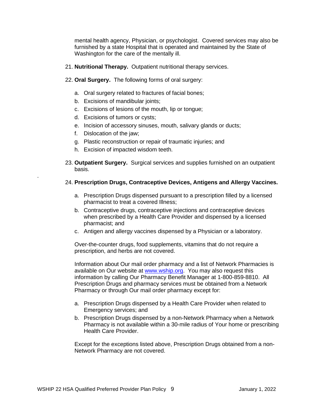mental health agency, Physician, or psychologist. Covered services may also be furnished by a state Hospital that is operated and maintained by the State of Washington for the care of the mentally ill.

- 21. **Nutritional Therapy.** Outpatient nutritional therapy services.
- 22. **Oral Surgery.** The following forms of oral surgery:
	- a. Oral surgery related to fractures of facial bones;
	- b. Excisions of mandibular joints;
	- c. Excisions of lesions of the mouth, lip or tongue;
	- d. Excisions of tumors or cysts;
	- e. Incision of accessory sinuses, mouth, salivary glands or ducts;
	- f. Dislocation of the jaw;

.

- g. Plastic reconstruction or repair of traumatic injuries; and
- h. Excision of impacted wisdom teeth.
- 23. **Outpatient Surgery.** Surgical services and supplies furnished on an outpatient basis.

#### 24. **Prescription Drugs, Contraceptive Devices, Antigens and Allergy Vaccines.**

- a. Prescription Drugs dispensed pursuant to a prescription filled by a licensed pharmacist to treat a covered Illness;
- b. Contraceptive drugs, contraceptive injections and contraceptive devices when prescribed by a Health Care Provider and dispensed by a licensed pharmacist; and
- c. Antigen and allergy vaccines dispensed by a Physician or a laboratory.

Over-the-counter drugs, food supplements, vitamins that do not require a prescription, and herbs are not covered.

Information about Our mail order pharmacy and a list of Network Pharmacies is available on Our website at [www.wship.org.](http://www.wship.org/) You may also request this information by calling Our Pharmacy Benefit Manager at 1-800-859-8810. All Prescription Drugs and pharmacy services must be obtained from a Network Pharmacy or through Our mail order pharmacy except for:

- a. Prescription Drugs dispensed by a Health Care Provider when related to Emergency services; and
- b. Prescription Drugs dispensed by a non-Network Pharmacy when a Network Pharmacy is not available within a 30-mile radius of Your home or prescribing Health Care Provider.

Except for the exceptions listed above, Prescription Drugs obtained from a non-Network Pharmacy are not covered.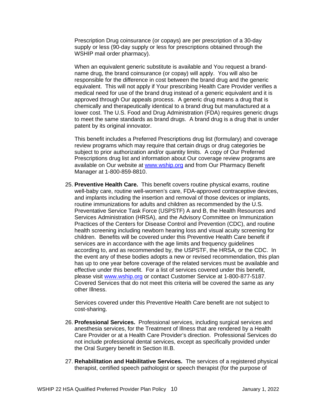Prescription Drug coinsurance (or copays) are per prescription of a 30-day supply or less (90-day supply or less for prescriptions obtained through the WSHIP mail order pharmacy).

When an equivalent generic substitute is available and You request a brandname drug, the brand coinsurance (or copay) will apply. You will also be responsible for the difference in cost between the brand drug and the generic equivalent. This will not apply if Your prescribing Health Care Provider verifies a medical need for use of the brand drug instead of a generic equivalent and it is approved through Our appeals process. A generic drug means a drug that is chemically and therapeutically identical to a brand drug but manufactured at a lower cost. The U.S. Food and Drug Administration (FDA) requires generic drugs to meet the same standards as brand drugs. A brand drug is a drug that is under patent by its original innovator.

This benefit includes a Preferred Prescriptions drug list (formulary) and coverage review programs which may require that certain drugs or drug categories be subject to prior authorization and/or quantity limits. A copy of Our Preferred Prescriptions drug list and information about Our coverage review programs are available on Our website at [www.wship.org](http://www.wship.org/) and from Our Pharmacy Benefit Manager at 1-800-859-8810.

25. **Preventive Health Care.** This benefit covers routine physical exams, routine well-baby care, routine well-women's care, FDA-approved contraceptive devices, and implants including the insertion and removal of those devices or implants, routine immunizations for adults and children as recommended by the U.S. Preventative Service Task Force (USPSTF) A and B, the Health Resources and Services Administration (HRSA), and the Advisory Committee on Immunization Practices of the Centers for Disease Control and Prevention (CDC), and routine health screening including newborn hearing loss and visual acuity screening for children. Benefits will be covered under this Preventive Health Care benefit if services are in accordance with the age limits and frequency guidelines according to, and as recommended by, the USPSTF, the HRSA, or the CDC. In the event any of these bodies adopts a new or revised recommendation, this plan has up to one year before coverage of the related services must be available and effective under this benefit. For a list of services covered under this benefit, please visit [www.wship.org](http://www.wshhsip.org/) or contact Customer Service at 1-800-877-5187. Covered Services that do not meet this criteria will be covered the same as any other Illness.

Services covered under this Preventive Health Care benefit are not subject to cost-sharing.

- 26. **Professional Services.** Professional services, including surgical services and anesthesia services, for the Treatment of Illness that are rendered by a Health Care Provider or at a Health Care Provider's direction. Professional Services do not include professional dental services, except as specifically provided under the Oral Surgery benefit in Section III.B.
- 27. **Rehabilitation and Habilitative Services.** The services of a registered physical therapist, certified speech pathologist or speech therapist (for the purpose of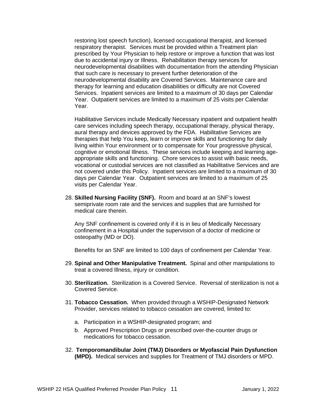restoring lost speech function), licensed occupational therapist, and licensed respiratory therapist. Services must be provided within a Treatment plan prescribed by Your Physician to help restore or improve a function that was lost due to accidental injury or Illness. Rehabilitation therapy services for neurodevelopmental disabilities with documentation from the attending Physician that such care is necessary to prevent further deterioration of the neurodevelopmental disability are Covered Services. Maintenance care and therapy for learning and education disabilities or difficulty are not Covered Services. Inpatient services are limited to a maximum of 30 days per Calendar Year. Outpatient services are limited to a maximum of 25 visits per Calendar Year.

Habilitative Services include Medically Necessary inpatient and outpatient health care services including speech therapy, occupational therapy, physical therapy, aural therapy and devices approved by the FDA. Habilitative Services are therapies that help You keep, learn or improve skills and functioning for daily living within Your environment or to compensate for Your progressive physical, cognitive or emotional Illness. These services include keeping and learning ageappropriate skills and functioning. Chore services to assist with basic needs, vocational or custodial services are not classified as Habilitative Services and are not covered under this Policy. Inpatient services are limited to a maximum of 30 days per Calendar Year. Outpatient services are limited to a maximum of 25 visits per Calendar Year.

28. **Skilled Nursing Facility (SNF).** Room and board at an SNF's lowest semiprivate room rate and the services and supplies that are furnished for medical care therein.

Any SNF confinement is covered only if it is in lieu of Medically Necessary confinement in a Hospital under the supervision of a doctor of medicine or osteopathy (MD or DO).

Benefits for an SNF are limited to 100 days of confinement per Calendar Year.

- 29. **Spinal and Other Manipulative Treatment.** Spinal and other manipulations to treat a covered Illness, injury or condition.
- 30. **Sterilization.** Sterilization is a Covered Service. Reversal of sterilization is not a Covered Service.
- 31. **Tobacco Cessation.** When provided through a WSHIP-Designated Network Provider, services related to tobacco cessation are covered, limited to:
	- a. Participation in a WSHIP-designated program; and
	- b. Approved Prescription Drugs or prescribed over-the-counter drugs or medications for tobacco cessation.
- 32. **Temporomandibular Joint (TMJ) Disorders or Myofascial Pain Dysfunction (MPD).** Medical services and supplies for Treatment of TMJ disorders or MPD.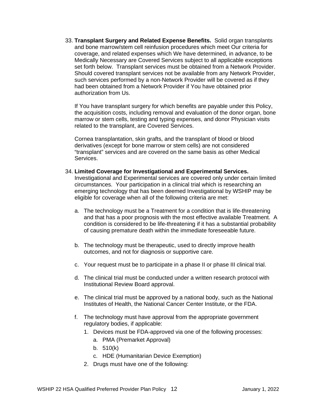33. **Transplant Surgery and Related Expense Benefits.** Solid organ transplants and bone marrow/stem cell reinfusion procedures which meet Our criteria for coverage, and related expenses which We have determined, in advance, to be Medically Necessary are Covered Services subject to all applicable exceptions set forth below. Transplant services must be obtained from a Network Provider. Should covered transplant services not be available from any Network Provider, such services performed by a non-Network Provider will be covered as if they had been obtained from a Network Provider if You have obtained prior authorization from Us.

If You have transplant surgery for which benefits are payable under this Policy, the acquisition costs, including removal and evaluation of the donor organ, bone marrow or stem cells, testing and typing expenses, and donor Physician visits related to the transplant, are Covered Services.

Cornea transplantation, skin grafts, and the transplant of blood or blood derivatives (except for bone marrow or stem cells) are not considered "transplant" services and are covered on the same basis as other Medical Services.

#### 34. **Limited Coverage for Investigational and Experimental Services.**

Investigational and Experimental services are covered only under certain limited circumstances. Your participation in a clinical trial which is researching an emerging technology that has been deemed Investigational by WSHIP may be eligible for coverage when all of the following criteria are met:

- a. The technology must be a Treatment for a condition that is life-threatening and that has a poor prognosis with the most effective available Treatment. A condition is considered to be life-threatening if it has a substantial probability of causing premature death within the immediate foreseeable future.
- b. The technology must be therapeutic, used to directly improve health outcomes, and not for diagnosis or supportive care.
- c. Your request must be to participate in a phase II or phase III clinical trial.
- d. The clinical trial must be conducted under a written research protocol with Institutional Review Board approval.
- e. The clinical trial must be approved by a national body, such as the National Institutes of Health, the National Cancer Center Institute, or the FDA.
- f. The technology must have approval from the appropriate government regulatory bodies, if applicable:
	- 1. Devices must be FDA-approved via one of the following processes:
		- a. PMA (Premarket Approval)
		- b. 510(k)
		- c. HDE (Humanitarian Device Exemption)
	- 2. Drugs must have one of the following: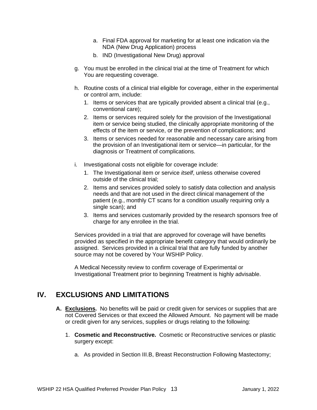- a. Final FDA approval for marketing for at least one indication via the NDA (New Drug Application) process
- b. IND (Investigational New Drug) approval
- g. You must be enrolled in the clinical trial at the time of Treatment for which You are requesting coverage.
- h. Routine costs of a clinical trial eligible for coverage, either in the experimental or control arm, include:
	- 1. Items or services that are typically provided absent a clinical trial (e.g., conventional care);
	- 2. Items or services required solely for the provision of the Investigational item or service being studied, the clinically appropriate monitoring of the effects of the item or service, or the prevention of complications; and
	- 3. Items or services needed for reasonable and necessary care arising from the provision of an Investigational item or service—in particular, for the diagnosis or Treatment of complications.
- i. Investigational costs not eligible for coverage include:
	- 1. The Investigational item or service *itself*, unless otherwise covered outside of the clinical trial;
	- 2. Items and services provided solely to satisfy data collection and analysis needs and that are not used in the direct clinical management of the patient (e.g., monthly CT scans for a condition usually requiring only a single scan); and
	- 3. Items and services customarily provided by the research sponsors free of charge for any enrollee in the trial.

Services provided in a trial that are approved for coverage will have benefits provided as specified in the appropriate benefit category that would ordinarily be assigned. Services provided in a clinical trial that are fully funded by another source may not be covered by Your WSHIP Policy.

A Medical Necessity review to confirm coverage of Experimental or Investigational Treatment prior to beginning Treatment is highly advisable.

## **IV. EXCLUSIONS AND LIMITATIONS**

- **A. Exclusions.** No benefits will be paid or credit given for services or supplies that are not Covered Services or that exceed the Allowed Amount. No payment will be made or credit given for any services, supplies or drugs relating to the following:
	- 1. **Cosmetic and Reconstructive.** Cosmetic or Reconstructive services or plastic surgery except:
		- a. As provided in Section III.B, Breast Reconstruction Following Mastectomy;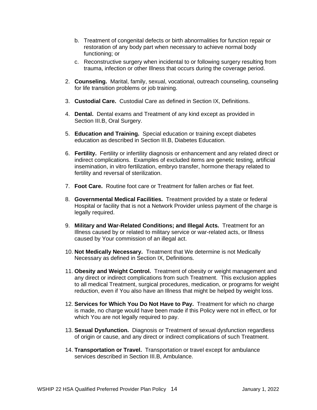- b. Treatment of congenital defects or birth abnormalities for function repair or restoration of any body part when necessary to achieve normal body functioning; or
- c. Reconstructive surgery when incidental to or following surgery resulting from trauma, infection or other Illness that occurs during the coverage period.
- 2. **Counseling.** Marital, family, sexual, vocational, outreach counseling, counseling for life transition problems or job training.
- 3. **Custodial Care.** Custodial Care as defined in Section IX, Definitions.
- 4. **Dental.** Dental exams and Treatment of any kind except as provided in Section III.B, Oral Surgery.
- 5. **Education and Training.** Special education or training except diabetes education as described in Section III.B, Diabetes Education.
- 6. **Fertility.** Fertility or infertility diagnosis or enhancement and any related direct or indirect complications. Examples of excluded items are genetic testing, artificial insemination, in vitro fertilization, embryo transfer, hormone therapy related to fertility and reversal of sterilization.
- 7. **Foot Care.** Routine foot care or Treatment for fallen arches or flat feet.
- 8. **Governmental Medical Facilities.** Treatment provided by a state or federal Hospital or facility that is not a Network Provider unless payment of the charge is legally required.
- 9. **Military and War-Related Conditions; and Illegal Acts.** Treatment for an Illness caused by or related to military service or war-related acts, or Illness caused by Your commission of an illegal act.
- 10. **Not Medically Necessary.** Treatment that We determine is not Medically Necessary as defined in Section IX, Definitions.
- 11. **Obesity and Weight Control.** Treatment of obesity or weight management and any direct or indirect complications from such Treatment. This exclusion applies to all medical Treatment, surgical procedures, medication, or programs for weight reduction, even if You also have an Illness that might be helped by weight loss.
- 12. **Services for Which You Do Not Have to Pay.** Treatment for which no charge is made, no charge would have been made if this Policy were not in effect, or for which You are not legally required to pay.
- 13. **Sexual Dysfunction.** Diagnosis or Treatment of sexual dysfunction regardless of origin or cause, and any direct or indirect complications of such Treatment.
- 14. **Transportation or Travel.** Transportation or travel except for ambulance services described in Section III.B, Ambulance.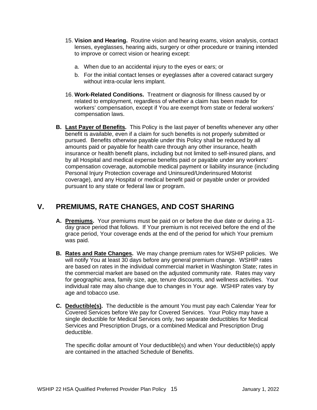- 15. **Vision and Hearing.** Routine vision and hearing exams, vision analysis, contact lenses, eyeglasses, hearing aids, surgery or other procedure or training intended to improve or correct vision or hearing except:
	- a. When due to an accidental injury to the eyes or ears; or
	- b. For the initial contact lenses or eyeglasses after a covered cataract surgery without intra-ocular lens implant.
- 16. **Work-Related Conditions.** Treatment or diagnosis for Illness caused by or related to employment, regardless of whether a claim has been made for workers' compensation, except if You are exempt from state or federal workers' compensation laws.
- **B. Last Payer of Benefits.** This Policy is the last payer of benefits whenever any other benefit is available, even if a claim for such benefits is not properly submitted or pursued. Benefits otherwise payable under this Policy shall be reduced by all amounts paid or payable for health care through any other insurance, health insurance or health benefit plans, including but not limited to self-insured plans, and by all Hospital and medical expense benefits paid or payable under any workers' compensation coverage, automobile medical payment or liability insurance (including Personal Injury Protection coverage and Uninsured/Underinsured Motorist coverage), and any Hospital or medical benefit paid or payable under or provided pursuant to any state or federal law or program.

## **V. PREMIUMS, RATE CHANGES, AND COST SHARING**

- **A. Premiums.** Your premiums must be paid on or before the due date or during a 31 day grace period that follows. If Your premium is not received before the end of the grace period, Your coverage ends at the end of the period for which Your premium was paid.
- **B. Rates and Rate Changes.** We may change premium rates for WSHIP policies. We will notify You at least 30 days before any general premium change. WSHIP rates are based on rates in the individual commercial market in Washington State; rates in the commercial market are based on the adjusted community rate. Rates may vary for geographic area, family size, age, tenure discounts, and wellness activities. Your individual rate may also change due to changes in Your age. WSHIP rates vary by age and tobacco use.
- **C. Deductible(s).** The deductible is the amount You must pay each Calendar Year for Covered Services before We pay for Covered Services. Your Policy may have a single deductible for Medical Services only, two separate deductibles for Medical Services and Prescription Drugs, or a combined Medical and Prescription Drug deductible.

The specific dollar amount of Your deductible(s) and when Your deductible(s) apply are contained in the attached Schedule of Benefits.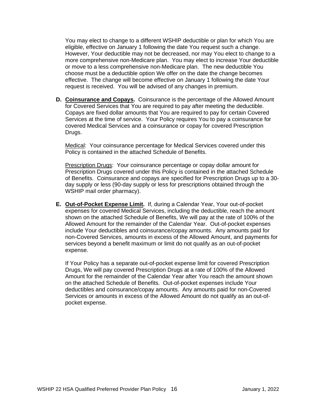You may elect to change to a different WSHIP deductible or plan for which You are eligible, effective on January 1 following the date You request such a change. However, Your deductible may not be decreased, nor may You elect to change to a more comprehensive non-Medicare plan. You may elect to increase Your deductible or move to a less comprehensive non-Medicare plan. The new deductible You choose must be a deductible option We offer on the date the change becomes effective. The change will become effective on January 1 following the date Your request is received. You will be advised of any changes in premium.

**D. Coinsurance and Copays.** Coinsurance is the percentage of the Allowed Amount for Covered Services that You are required to pay after meeting the deductible. Copays are fixed dollar amounts that You are required to pay for certain Covered Services at the time of service. Your Policy requires You to pay a coinsurance for covered Medical Services and a coinsurance or copay for covered Prescription Drugs.

Medical: Your coinsurance percentage for Medical Services covered under this Policy is contained in the attached Schedule of Benefits.

Prescription Drugs: Your coinsurance percentage or copay dollar amount for Prescription Drugs covered under this Policy is contained in the attached Schedule of Benefits. Coinsurance and copays are specified for Prescription Drugs up to a 30 day supply or less (90-day supply or less for prescriptions obtained through the WSHIP mail order pharmacy).

**E. Out-of-Pocket Expense Limit.** If, during a Calendar Year, Your out-of-pocket expenses for covered Medical Services, including the deductible, reach the amount shown on the attached Schedule of Benefits, We will pay at the rate of 100% of the Allowed Amount for the remainder of the Calendar Year. Out-of-pocket expenses include Your deductibles and coinsurance/copay amounts. Any amounts paid for non-Covered Services, amounts in excess of the Allowed Amount, and payments for services beyond a benefit maximum or limit do not qualify as an out-of-pocket expense.

If Your Policy has a separate out-of-pocket expense limit for covered Prescription Drugs, We will pay covered Prescription Drugs at a rate of 100% of the Allowed Amount for the remainder of the Calendar Year after You reach the amount shown on the attached Schedule of Benefits. Out-of-pocket expenses include Your deductibles and coinsurance/copay amounts. Any amounts paid for non-Covered Services or amounts in excess of the Allowed Amount do not qualify as an out-ofpocket expense.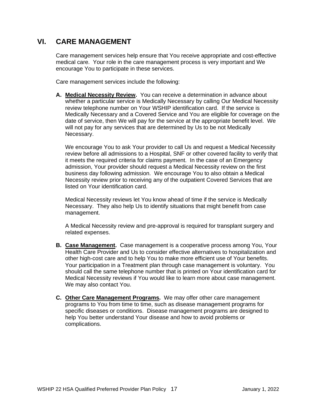## **VI. CARE MANAGEMENT**

Care management services help ensure that You receive appropriate and cost-effective medical care. Your role in the care management process is very important and We encourage You to participate in these services.

Care management services include the following:

**A. Medical Necessity Review.** You can receive a determination in advance about whether a particular service is Medically Necessary by calling Our Medical Necessity review telephone number on Your WSHIP identification card. If the service is Medically Necessary and a Covered Service and You are eligible for coverage on the date of service, then We will pay for the service at the appropriate benefit level. We will not pay for any services that are determined by Us to be not Medically Necessary.

We encourage You to ask Your provider to call Us and request a Medical Necessity review before all admissions to a Hospital, SNF or other covered facility to verify that it meets the required criteria for claims payment. In the case of an Emergency admission, Your provider should request a Medical Necessity review on the first business day following admission. We encourage You to also obtain a Medical Necessity review prior to receiving any of the outpatient Covered Services that are listed on Your identification card.

Medical Necessity reviews let You know ahead of time if the service is Medically Necessary. They also help Us to identify situations that might benefit from case management.

A Medical Necessity review and pre-approval is required for transplant surgery and related expenses.

- **B. Case Management.** Case management is a cooperative process among You, Your Health Care Provider and Us to consider effective alternatives to hospitalization and other high-cost care and to help You to make more efficient use of Your benefits. Your participation in a Treatment plan through case management is voluntary. You should call the same telephone number that is printed on Your identification card for Medical Necessity reviews if You would like to learn more about case management. We may also contact You.
- **C. Other Care Management Programs.** We may offer other care management programs to You from time to time, such as disease management programs for specific diseases or conditions. Disease management programs are designed to help You better understand Your disease and how to avoid problems or complications.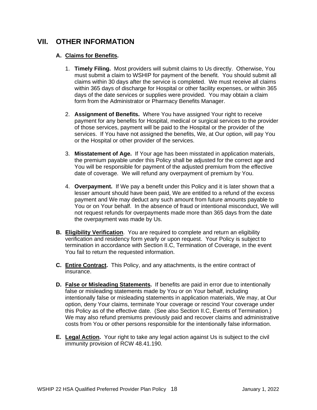## **VII. OTHER INFORMATION**

## **A. Claims for Benefits.**

- 1. **Timely Filing.** Most providers will submit claims to Us directly. Otherwise, You must submit a claim to WSHIP for payment of the benefit. You should submit all claims within 30 days after the service is completed. We must receive all claims within 365 days of discharge for Hospital or other facility expenses, or within 365 days of the date services or supplies were provided. You may obtain a claim form from the Administrator or Pharmacy Benefits Manager.
- 2. **Assignment of Benefits.** Where You have assigned Your right to receive payment for any benefits for Hospital, medical or surgical services to the provider of those services, payment will be paid to the Hospital or the provider of the services. If You have not assigned the benefits, We, at Our option, will pay You or the Hospital or other provider of the services.
- 3. **Misstatement of Age.** If Your age has been misstated in application materials, the premium payable under this Policy shall be adjusted for the correct age and You will be responsible for payment of the adjusted premium from the effective date of coverage. We will refund any overpayment of premium by You.
- 4. **Overpayment.** If We pay a benefit under this Policy and it is later shown that a lesser amount should have been paid, We are entitled to a refund of the excess payment and We may deduct any such amount from future amounts payable to You or on Your behalf. In the absence of fraud or intentional misconduct, We will not request refunds for overpayments made more than 365 days from the date the overpayment was made by Us.
- **B. Eligibility Verification**. You are required to complete and return an eligibility verification and residency form yearly or upon request. Your Policy is subject to termination in accordance with Section II.C, Termination of Coverage, in the event You fail to return the requested information.
- **C. Entire Contract.** This Policy, and any attachments, is the entire contract of insurance.
- **D. False or Misleading Statements.** If benefits are paid in error due to intentionally false or misleading statements made by You or on Your behalf, including intentionally false or misleading statements in application materials, We may, at Our option, deny Your claims, terminate Your coverage or rescind Your coverage under this Policy as of the effective date. (See also Section II.C, Events of Termination.) We may also refund premiums previously paid and recover claims and administrative costs from You or other persons responsible for the intentionally false information.
- **E. Legal Action.** Your right to take any legal action against Us is subject to the civil immunity provision of RCW 48.41.190.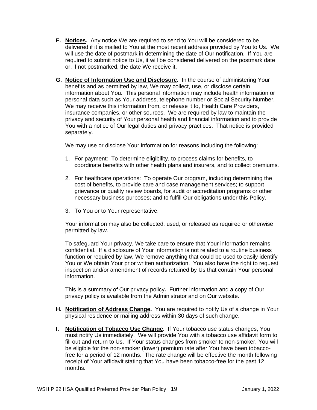- **F. Notices.** Any notice We are required to send to You will be considered to be delivered if it is mailed to You at the most recent address provided by You to Us. We will use the date of postmark in determining the date of Our notification. If You are required to submit notice to Us, it will be considered delivered on the postmark date or, if not postmarked, the date We receive it.
- **G. Notice of Information Use and Disclosure.** In the course of administering Your benefits and as permitted by law, We may collect, use, or disclose certain information about You. This personal information may include health information or personal data such as Your address, telephone number or Social Security Number. We may receive this information from, or release it to, Health Care Providers, insurance companies, or other sources. We are required by law to maintain the privacy and security of Your personal health and financial information and to provide You with a notice of Our legal duties and privacy practices. That notice is provided separately.

We may use or disclose Your information for reasons including the following:

- 1. For payment: To determine eligibility, to process claims for benefits, to coordinate benefits with other health plans and insurers, and to collect premiums.
- 2. For healthcare operations: To operate Our program, including determining the cost of benefits, to provide care and case management services; to support grievance or quality review boards, for audit or accreditation programs or other necessary business purposes; and to fulfill Our obligations under this Policy.
- 3. To You or to Your representative.

Your information may also be collected, used, or released as required or otherwise permitted by law.

To safeguard Your privacy, We take care to ensure that Your information remains confidential. If a disclosure of Your information is not related to a routine business function or required by law, We remove anything that could be used to easily identify You or We obtain Your prior written authorization. You also have the right to request inspection and/or amendment of records retained by Us that contain Your personal information.

This is a summary of Our privacy policy**.** Further information and a copy of Our privacy policy is available from the Administrator and on Our website.

- **H. Notification of Address Change.** You are required to notify Us of a change in Your physical residence or mailing address within 30 days of such change.
- **I. Notification of Tobacco Use Change.** If Your tobacco use status changes, You must notify Us immediately. We will provide You with a tobacco use affidavit form to fill out and return to Us. If Your status changes from smoker to non-smoker, You will be eligible for the non-smoker (lower) premium rate after You have been tobaccofree for a period of 12 months. The rate change will be effective the month following receipt of Your affidavit stating that You have been tobacco-free for the past 12 months.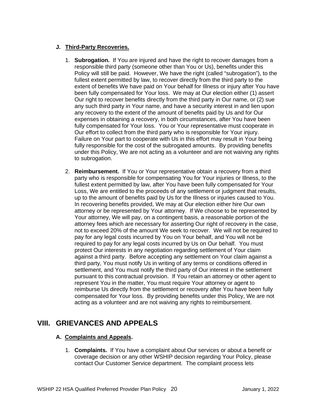## **J. Third-Party Recoveries.**

- 1. **Subrogation.** If You are injured and have the right to recover damages from a responsible third party (someone other than You or Us), benefits under this Policy will still be paid. However, We have the right (called "subrogation"), to the fullest extent permitted by law, to recover directly from the third party to the extent of benefits We have paid on Your behalf for Illness or injury after You have been fully compensated for Your loss. We may at Our election either (1) assert Our right to recover benefits directly from the third party in Our name, or (2) sue any such third party in Your name, and have a security interest in and lien upon any recovery to the extent of the amount of benefits paid by Us and for Our expenses in obtaining a recovery, in both circumstances, after You have been fully compensated for Your loss. You or Your representative must cooperate in Our effort to collect from the third party who is responsible for Your injury. Failure on Your part to cooperate with Us in this effort may result in Your being fully responsible for the cost of the subrogated amounts. By providing benefits under this Policy, We are not acting as a volunteer and are not waiving any rights to subrogation.
- 2. **Reimbursement.** If You or Your representative obtain a recovery from a third party who is responsible for compensating You for Your injuries or Illness, to the fullest extent permitted by law, after You have been fully compensated for Your Loss, We are entitled to the proceeds of any settlement or judgment that results, up to the amount of benefits paid by Us for the Illness or injuries caused to You. In recovering benefits provided, We may at Our election either hire Our own attorney or be represented by Your attorney. If We choose to be represented by Your attorney, We will pay, on a contingent basis, a reasonable portion of the attorney fees which are necessary for asserting Our right of recovery in the case, not to exceed 20% of the amount We seek to recover. We will not be required to pay for any legal costs incurred by You on Your behalf, and You will not be required to pay for any legal costs incurred by Us on Our behalf. You must protect Our interests in any negotiation regarding settlement of Your claim against a third party. Before accepting any settlement on Your claim against a third party, You must notify Us in writing of any terms or conditions offered in settlement, and You must notify the third party of Our interest in the settlement pursuant to this contractual provision. If You retain an attorney or other agent to represent You in the matter, You must require Your attorney or agent to reimburse Us directly from the settlement or recovery after You have been fully compensated for Your loss. By providing benefits under this Policy, We are not acting as a volunteer and are not waiving any rights to reimbursement.

## **VIII. GRIEVANCES AND APPEALS**

## **A. Complaints and Appeals.**

1. **Complaints.** If You have a complaint about Our services or about a benefit or coverage decision or any other WSHIP decision regarding Your Policy, please contact Our Customer Service department. The complaint process lets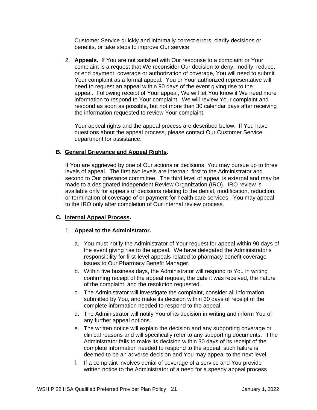Customer Service quickly and informally correct errors, clarify decisions or benefits, or take steps to improve Our service.

2. **Appeals.** If You are not satisfied with Our response to a complaint or Your complaint is a request that We reconsider Our decision to deny, modify, reduce, or end payment, coverage or authorization of coverage, You will need to submit Your complaint as a formal appeal. You or Your authorized representative will need to request an appeal within 90 days of the event giving rise to the appeal. Following receipt of Your appeal, We will let You know if We need more information to respond to Your complaint. We will review Your complaint and respond as soon as possible, but not more than 30 calendar days after receiving the information requested to review Your complaint.

Your appeal rights and the appeal process are described below. If You have questions about the appeal process, please contact Our Customer Service department for assistance.

#### **B. General Grievance and Appeal Rights.**

If You are aggrieved by one of Our actions or decisions, You may pursue up to three levels of appeal. The first two levels are internal: first to the Administrator and second to Our grievance committee. The third level of appeal is external and may be made to a designated Independent Review Organization (IRO). IRO review is available only for appeals of decisions relating to the denial, modification, reduction, or termination of coverage of or payment for health care services. You may appeal to the IRO only after completion of Our internal review process.

## **C. Internal Appeal Process.**

#### 1. **Appeal to the Administrator.**

- a. You must notify the Administrator of Your request for appeal within 90 days of the event giving rise to the appeal. We have delegated the Administrator's responsibility for first-level appeals related to pharmacy benefit coverage issues to Our Pharmacy Benefit Manager.
- b. Within five business days, the Administrator will respond to You in writing confirming receipt of the appeal request, the date it was received, the nature of the complaint, and the resolution requested.
- c. The Administrator will investigate the complaint, consider all information submitted by You, and make its decision within 30 days of receipt of the complete information needed to respond to the appeal.
- d. The Administrator will notify You of its decision in writing and inform You of any further appeal options.
- e. The written notice will explain the decision and any supporting coverage or clinical reasons and will specifically refer to any supporting documents. If the Administrator fails to make its decision within 30 days of its receipt of the complete information needed to respond to the appeal, such failure is deemed to be an adverse decision and You may appeal to the next level.
- f. If a complaint involves denial of coverage of a service and You provide written notice to the Administrator of a need for a speedy appeal process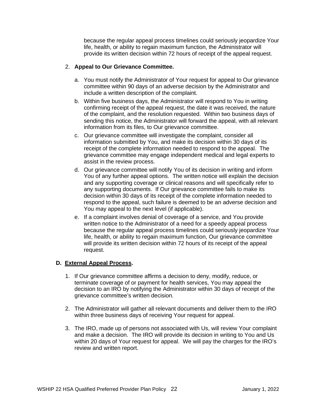because the regular appeal process timelines could seriously jeopardize Your life, health, or ability to regain maximum function, the Administrator will provide its written decision within 72 hours of receipt of the appeal request.

## 2. **Appeal to Our Grievance Committee.**

- a. You must notify the Administrator of Your request for appeal to Our grievance committee within 90 days of an adverse decision by the Administrator and include a written description of the complaint.
- b. Within five business days, the Administrator will respond to You in writing confirming receipt of the appeal request, the date it was received, the nature of the complaint, and the resolution requested. Within two business days of sending this notice, the Administrator will forward the appeal, with all relevant information from its files, to Our grievance committee.
- c. Our grievance committee will investigate the complaint, consider all information submitted by You, and make its decision within 30 days of its receipt of the complete information needed to respond to the appeal. The grievance committee may engage independent medical and legal experts to assist in the review process.
- d. Our grievance committee will notify You of its decision in writing and inform You of any further appeal options. The written notice will explain the decision and any supporting coverage or clinical reasons and will specifically refer to any supporting documents. If Our grievance committee fails to make its decision within 30 days of its receipt of the complete information needed to respond to the appeal, such failure is deemed to be an adverse decision and You may appeal to the next level (if applicable).
- e. If a complaint involves denial of coverage of a service, and You provide written notice to the Administrator of a need for a speedy appeal process because the regular appeal process timelines could seriously jeopardize Your life, health, or ability to regain maximum function, Our grievance committee will provide its written decision within 72 hours of its receipt of the appeal request.

## **D. External Appeal Process.**

- 1. If Our grievance committee affirms a decision to deny, modify, reduce, or terminate coverage of or payment for health services, You may appeal the decision to an IRO by notifying the Administrator within 30 days of receipt of the grievance committee's written decision.
- 2. The Administrator will gather all relevant documents and deliver them to the IRO within three business days of receiving Your request for appeal.
- 3. The IRO, made up of persons not associated with Us, will review Your complaint and make a decision. The IRO will provide its decision in writing to You and Us within 20 days of Your request for appeal. We will pay the charges for the IRO's review and written report.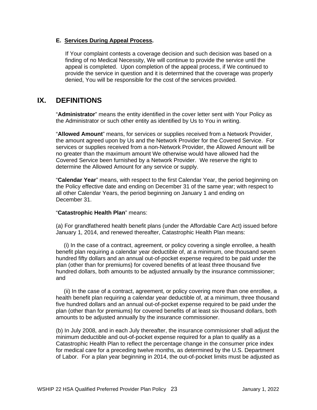#### **E. Services During Appeal Process.**

If Your complaint contests a coverage decision and such decision was based on a finding of no Medical Necessity, We will continue to provide the service until the appeal is completed. Upon completion of the appeal process, if We continued to provide the service in question and it is determined that the coverage was properly denied, You will be responsible for the cost of the services provided.

## **IX. DEFINITIONS**

"**Administrator**" means the entity identified in the cover letter sent with Your Policy as the Administrator or such other entity as identified by Us to You in writing.

"**Allowed Amount**" means, for services or supplies received from a Network Provider, the amount agreed upon by Us and the Network Provider for the Covered Service. For services or supplies received from a non-Network Provider, the Allowed Amount will be no greater than the maximum amount We otherwise would have allowed had the Covered Service been furnished by a Network Provider. We reserve the right to determine the Allowed Amount for any service or supply.

"**Calendar Year**" means, with respect to the first Calendar Year, the period beginning on the Policy effective date and ending on December 31 of the same year; with respect to all other Calendar Years, the period beginning on January 1 and ending on December 31.

#### "**Catastrophic Health Plan**" means:

(a) For grandfathered health benefit plans (under the Affordable Care Act) issued before January 1, 2014, and renewed thereafter, Catastrophic Health Plan means:

 (i) In the case of a contract, agreement, or policy covering a single enrollee, a health benefit plan requiring a calendar year deductible of, at a minimum, one thousand seven hundred fifty dollars and an annual out-of-pocket expense required to be paid under the plan (other than for premiums) for covered benefits of at least three thousand five hundred dollars, both amounts to be adjusted annually by the insurance commissioner; and

 (ii) In the case of a contract, agreement, or policy covering more than one enrollee, a health benefit plan requiring a calendar year deductible of, at a minimum, three thousand five hundred dollars and an annual out-of-pocket expense required to be paid under the plan (other than for premiums) for covered benefits of at least six thousand dollars, both amounts to be adjusted annually by the insurance commissioner.

(b) In July 2008, and in each July thereafter, the insurance commissioner shall adjust the minimum deductible and out-of-pocket expense required for a plan to qualify as a Catastrophic Health Plan to reflect the percentage change in the consumer price index for medical care for a preceding twelve months, as determined by the U.S. Department of Labor. For a plan year beginning in 2014, the out-of-pocket limits must be adjusted as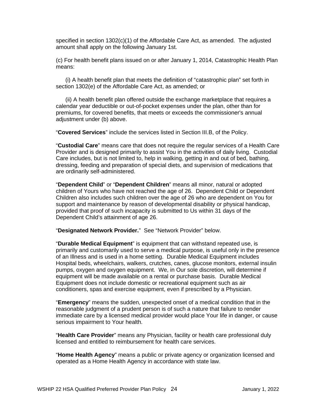specified in section 1302(c)(1) of the Affordable Care Act, as amended. The adjusted amount shall apply on the following January 1st.

(c) For health benefit plans issued on or after January 1, 2014, Catastrophic Health Plan means:

 (i) A health benefit plan that meets the definition of "catastrophic plan" set forth in section 1302(e) of the Affordable Care Act, as amended; or

 (ii) A health benefit plan offered outside the exchange marketplace that requires a calendar year deductible or out-of-pocket expenses under the plan, other than for premiums, for covered benefits, that meets or exceeds the commissioner's annual adjustment under (b) above.

"**Covered Services**" include the services listed in Section III.B, of the Policy.

"**Custodial Care**" means care that does not require the regular services of a Health Care Provider and is designed primarily to assist You in the activities of daily living. Custodial Care includes, but is not limited to, help in walking, getting in and out of bed, bathing, dressing, feeding and preparation of special diets, and supervision of medications that are ordinarily self-administered.

"**Dependent Child**" or "**Dependent Children**" means all minor, natural or adopted children of Yours who have not reached the age of 26. Dependent Child or Dependent Children also includes such children over the age of 26 who are dependent on You for support and maintenance by reason of developmental disability or physical handicap, provided that proof of such incapacity is submitted to Us within 31 days of the Dependent Child's attainment of age 26.

"**Designated Network Provider.**" See "Network Provider" below.

"**Durable Medical Equipment**" is equipment that can withstand repeated use, is primarily and customarily used to serve a medical purpose, is useful only in the presence of an Illness and is used in a home setting. Durable Medical Equipment includes Hospital beds, wheelchairs, walkers, crutches, canes, glucose monitors, external insulin pumps, oxygen and oxygen equipment. We, in Our sole discretion, will determine if equipment will be made available on a rental or purchase basis. Durable Medical Equipment does not include domestic or recreational equipment such as air conditioners, spas and exercise equipment, even if prescribed by a Physician.

"**Emergency**" means the sudden, unexpected onset of a medical condition that in the reasonable judgment of a prudent person is of such a nature that failure to render immediate care by a licensed medical provider would place Your life in danger, or cause serious impairment to Your health.

"**Health Care Provider**" means any Physician, facility or health care professional duly licensed and entitled to reimbursement for health care services.

"**Home Health Agency**" means a public or private agency or organization licensed and operated as a Home Health Agency in accordance with state law.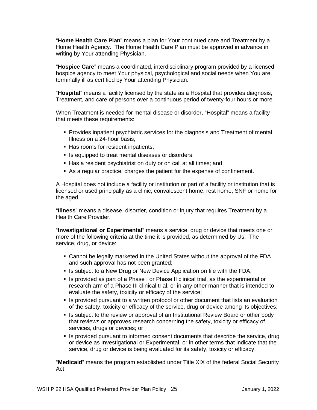"**Home Health Care Plan**" means a plan for Your continued care and Treatment by a Home Health Agency. The Home Health Care Plan must be approved in advance in writing by Your attending Physician.

"**Hospice Care**" means a coordinated, interdisciplinary program provided by a licensed hospice agency to meet Your physical, psychological and social needs when You are terminally ill as certified by Your attending Physician.

"**Hospital**" means a facility licensed by the state as a Hospital that provides diagnosis, Treatment, and care of persons over a continuous period of twenty-four hours or more.

When Treatment is needed for mental disease or disorder, "Hospital" means a facility that meets these requirements:

- **Provides inpatient psychiatric services for the diagnosis and Treatment of mental** Illness on a 24-hour basis;
- Has rooms for resident inpatients;
- Is equipped to treat mental diseases or disorders;
- Has a resident psychiatrist on duty or on call at all times; and
- As a regular practice, charges the patient for the expense of confinement.

A Hospital does not include a facility or institution or part of a facility or institution that is licensed or used principally as a clinic, convalescent home, rest home, SNF or home for the aged.

"**Illness**" means a disease, disorder, condition or injury that requires Treatment by a Health Care Provider.

"**Investigational or Experimental**" means a service, drug or device that meets one or more of the following criteria at the time it is provided, as determined by Us. The service, drug, or device:

- Cannot be legally marketed in the United States without the approval of the FDA and such approval has not been granted;
- Is subject to a New Drug or New Device Application on file with the FDA;
- **IF Is provided as part of a Phase I or Phase II clinical trial, as the experimental or** research arm of a Phase III clinical trial, or in any other manner that is intended to evaluate the safety, toxicity or efficacy of the service;
- If Is provided pursuant to a written protocol or other document that lists an evaluation of the safety, toxicity or efficacy of the service, drug or device among its objectives;
- If Is subject to the review or approval of an Institutional Review Board or other body that reviews or approves research concerning the safety, toxicity or efficacy of services, drugs or devices; or
- If Is provided pursuant to informed consent documents that describe the service, drug or device as Investigational or Experimental, or in other terms that indicate that the service, drug or device is being evaluated for its safety, toxicity or efficacy.

"**Medicaid**" means the program established under Title XIX of the federal Social Security Act.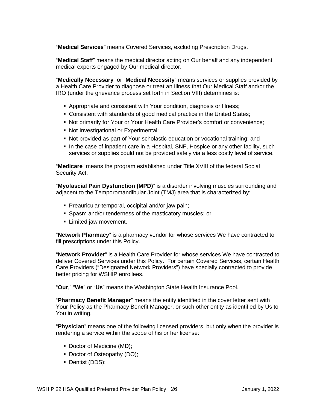"**Medical Services**" means Covered Services, excluding Prescription Drugs.

"**Medical Staff**" means the medical director acting on Our behalf and any independent medical experts engaged by Our medical director.

"**Medically Necessary**" or "**Medical Necessity**" means services or supplies provided by a Health Care Provider to diagnose or treat an Illness that Our Medical Staff and/or the IRO (under the grievance process set forth in Section VIII) determines is:

- Appropriate and consistent with Your condition, diagnosis or Illness;
- Consistent with standards of good medical practice in the United States;
- Not primarily for Your or Your Health Care Provider's comfort or convenience;
- Not Investigational or Experimental;
- Not provided as part of Your scholastic education or vocational training; and
- In the case of inpatient care in a Hospital, SNF, Hospice or any other facility, such services or supplies could not be provided safely via a less costly level of service.

"**Medicare**" means the program established under Title XVIII of the federal Social Security Act.

"**Myofascial Pain Dysfunction (MPD)**" is a disorder involving muscles surrounding and adjacent to the Temporomandibular Joint (TMJ) area that is characterized by:

- Preauricular-temporal, occipital and/or jaw pain;
- **Spasm and/or tenderness of the masticatory muscles; or**
- **Example 1** Limited jaw movement.

"**Network Pharmacy**" is a pharmacy vendor for whose services We have contracted to fill prescriptions under this Policy.

"**Network Provider**" is a Health Care Provider for whose services We have contracted to deliver Covered Services under this Policy. For certain Covered Services, certain Health Care Providers ("Designated Network Providers") have specially contracted to provide better pricing for WSHIP enrollees.

"**Our**," "**We**" or "**Us**" means the Washington State Health Insurance Pool.

"**Pharmacy Benefit Manager**" means the entity identified in the cover letter sent with Your Policy as the Pharmacy Benefit Manager, or such other entity as identified by Us to You in writing.

"**Physician**" means one of the following licensed providers, but only when the provider is rendering a service within the scope of his or her license:

- Doctor of Medicine (MD);
- Doctor of Osteopathy (DO);
- Dentist (DDS);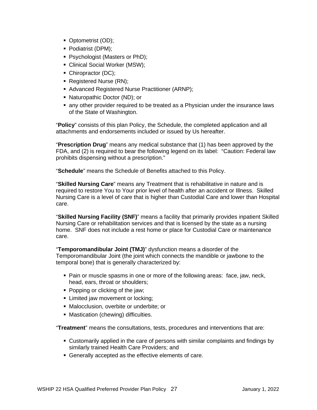- Optometrist (OD);
- Podiatrist (DPM);
- **Psychologist (Masters or PhD);**
- Clinical Social Worker (MSW);
- Chiropractor (DC);
- Registered Nurse (RN);
- Advanced Registered Nurse Practitioner (ARNP);
- Naturopathic Doctor (ND); or
- any other provider required to be treated as a Physician under the insurance laws of the State of Washington.

"**Policy**" consists of this plan Policy, the Schedule, the completed application and all attachments and endorsements included or issued by Us hereafter.

"**Prescription Drug**" means any medical substance that (1) has been approved by the FDA, and (2) is required to bear the following legend on its label: "Caution: Federal law prohibits dispensing without a prescription."

"**Schedule**" means the Schedule of Benefits attached to this Policy.

"**Skilled Nursing Care**" means any Treatment that is rehabilitative in nature and is required to restore You to Your prior level of health after an accident or Illness. Skilled Nursing Care is a level of care that is higher than Custodial Care and lower than Hospital care.

"**Skilled Nursing Facility (SNF)**" means a facility that primarily provides inpatient Skilled Nursing Care or rehabilitation services and that is licensed by the state as a nursing home. SNF does not include a rest home or place for Custodial Care or maintenance care.

"**Temporomandibular Joint (TMJ)**" dysfunction means a disorder of the Temporomandibular Joint (the joint which connects the mandible or jawbone to the temporal bone) that is generally characterized by:

- Pain or muscle spasms in one or more of the following areas: face, jaw, neck, head, ears, throat or shoulders;
- Popping or clicking of the jaw;
- **EXECUTE:** Limited jaw movement or locking;
- Malocclusion, overbite or underbite; or
- **Mastication (chewing) difficulties.**

"**Treatment**" means the consultations, tests, procedures and interventions that are:

- Customarily applied in the care of persons with similar complaints and findings by similarly trained Health Care Providers; and
- Generally accepted as the effective elements of care.